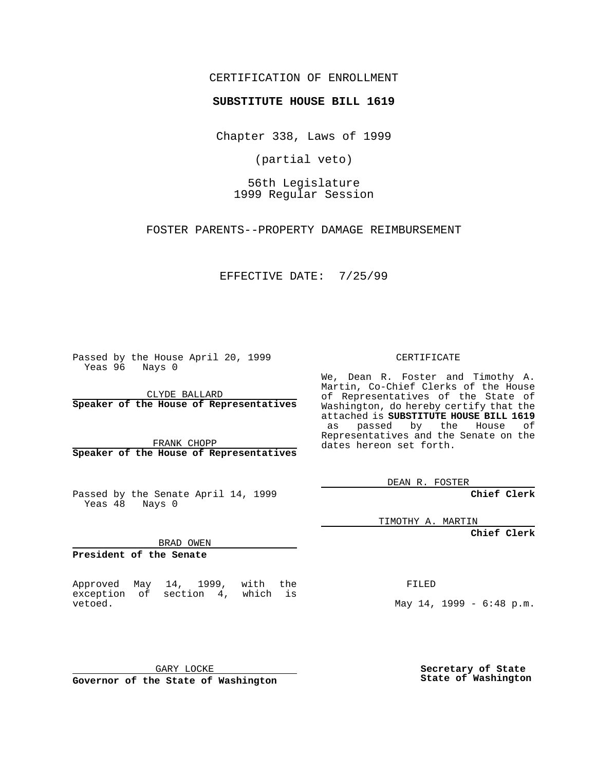CERTIFICATION OF ENROLLMENT

**SUBSTITUTE HOUSE BILL 1619**

Chapter 338, Laws of 1999

(partial veto)

56th Legislature 1999 Regular Session

FOSTER PARENTS--PROPERTY DAMAGE REIMBURSEMENT

EFFECTIVE DATE: 7/25/99

Passed by the House April 20, 1999 Yeas 96 Nays 0

CLYDE BALLARD **Speaker of the House of Representatives**

FRANK CHOPP **Speaker of the House of Representatives**

Passed by the Senate April 14, 1999 Yeas 48 Nays 0

TIMOTHY A. MARTIN

**Chief Clerk**

BRAD OWEN

**President of the Senate**

Approved May 14, 1999, with the exception of section 4, which is vetoed.

FILED

May 14, 1999 - 6:48 p.m.

GARY LOCKE **Governor of the State of Washington**

**Secretary of State State of Washington**

CERTIFICATE

We, Dean R. Foster and Timothy A. Martin, Co-Chief Clerks of the House of Representatives of the State of Washington, do hereby certify that the attached is **SUBSTITUTE HOUSE BILL 1619** as passed by the House of Representatives and the Senate on the dates hereon set forth.

DEAN R. FOSTER

**Chief Clerk**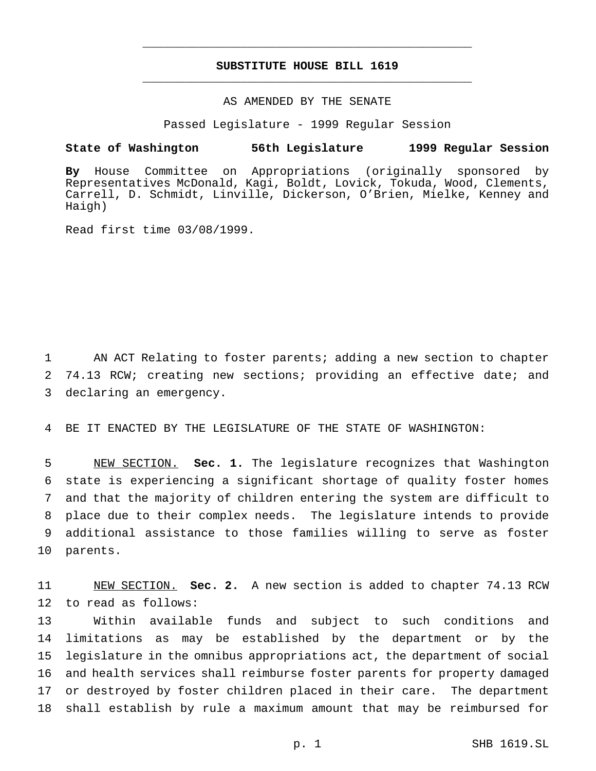## **SUBSTITUTE HOUSE BILL 1619** \_\_\_\_\_\_\_\_\_\_\_\_\_\_\_\_\_\_\_\_\_\_\_\_\_\_\_\_\_\_\_\_\_\_\_\_\_\_\_\_\_\_\_\_\_\_\_

\_\_\_\_\_\_\_\_\_\_\_\_\_\_\_\_\_\_\_\_\_\_\_\_\_\_\_\_\_\_\_\_\_\_\_\_\_\_\_\_\_\_\_\_\_\_\_

## AS AMENDED BY THE SENATE

Passed Legislature - 1999 Regular Session

## **State of Washington 56th Legislature 1999 Regular Session**

**By** House Committee on Appropriations (originally sponsored by Representatives McDonald, Kagi, Boldt, Lovick, Tokuda, Wood, Clements, Carrell, D. Schmidt, Linville, Dickerson, O'Brien, Mielke, Kenney and Haigh)

Read first time 03/08/1999.

1 AN ACT Relating to foster parents; adding a new section to chapter 2 74.13 RCW; creating new sections; providing an effective date; and 3 declaring an emergency.

4 BE IT ENACTED BY THE LEGISLATURE OF THE STATE OF WASHINGTON:

 NEW SECTION. **Sec. 1.** The legislature recognizes that Washington state is experiencing a significant shortage of quality foster homes and that the majority of children entering the system are difficult to place due to their complex needs. The legislature intends to provide additional assistance to those families willing to serve as foster 10 parents.

11 NEW SECTION. **Sec. 2.** A new section is added to chapter 74.13 RCW 12 to read as follows:

 Within available funds and subject to such conditions and limitations as may be established by the department or by the legislature in the omnibus appropriations act, the department of social and health services shall reimburse foster parents for property damaged or destroyed by foster children placed in their care. The department shall establish by rule a maximum amount that may be reimbursed for